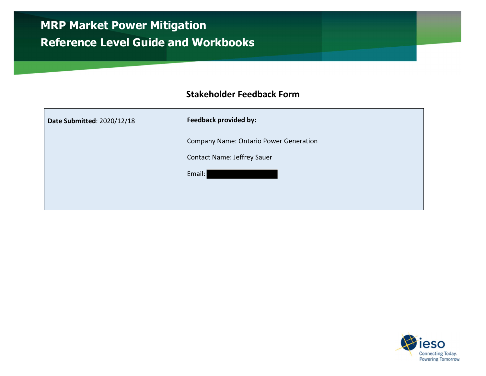## MRP Market Power Mitigation Reference Level Guide and Workbooks

## Stakeholder Feedback Form

| Date Submitted: 2020/12/18 | <b>Feedback provided by:</b>                  |
|----------------------------|-----------------------------------------------|
|                            | <b>Company Name: Ontario Power Generation</b> |
|                            | <b>Contact Name: Jeffrey Sauer</b>            |
|                            | Email:                                        |
|                            |                                               |
|                            |                                               |

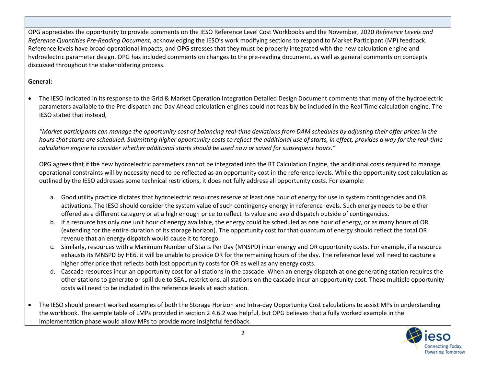OPG appreciates the opportunity to provide comments on the IESO Reference Level Cost Workbooks and the November, 2020 Reference Levels and Reference Quantities Pre-Reading Document, acknowledging the IESO's work modifying sections to respond to Market Participant (MP) feedback. Reference levels have broad operational impacts, and OPG stresses that they must be properly integrated with the new calculation engine and hydroelectric parameter design. OPG has included comments on changes to the pre-reading document, as well as general comments on concepts discussed throughout the stakeholdering process.

## General:

 The IESO indicated in its response to the Grid & Market Operation Integration Detailed Design Document comments that many of the hydroelectric parameters available to the Pre-dispatch and Day Ahead calculation engines could not feasibly be included in the Real Time calculation engine. The IESO stated that instead,

"Market participants can manage the opportunity cost of balancing real-time deviations from DAM schedules by adjusting their offer prices in the hours that starts are scheduled. Submitting higher opportunity costs to reflect the additional use of starts, in effect, provides a way for the real-time calculation engine to consider whether additional starts should be used now or saved for subsequent hours."

OPG agrees that if the new hydroelectric parameters cannot be integrated into the RT Calculation Engine, the additional costs required to manage operational constraints will by necessity need to be reflected as an opportunity cost in the reference levels. While the opportunity cost calculation as outlined by the IESO addresses some technical restrictions, it does not fully address all opportunity costs. For example:

- a. Good utility practice dictates that hydroelectric resources reserve at least one hour of energy for use in system contingencies and OR activations. The IESO should consider the system value of such contingency energy in reference levels. Such energy needs to be either offered as a different category or at a high enough price to reflect its value and avoid dispatch outside of contingencies.
- b. If a resource has only one unit hour of energy available, the energy could be scheduled as one hour of energy, or as many hours of OR (extending for the entire duration of its storage horizon). The opportunity cost for that quantum of energy should reflect the total OR revenue that an energy dispatch would cause it to forego.
- c. Similarly, resources with a Maximum Number of Starts Per Day (MNSPD) incur energy and OR opportunity costs. For example, if a resource exhausts its MNSPD by HE6, it will be unable to provide OR for the remaining hours of the day. The reference level will need to capture a higher offer price that reflects both lost opportunity costs for OR as well as any energy costs.
- d. Cascade resources incur an opportunity cost for all stations in the cascade. When an energy dispatch at one generating station requires the other stations to generate or spill due to SEAL restrictions, all stations on the cascade incur an opportunity cost. These multiple opportunity costs will need to be included in the reference levels at each station.
- The IESO should present worked examples of both the Storage Horizon and Intra-day Opportunity Cost calculations to assist MPs in understanding the workbook. The sample table of LMPs provided in section 2.4.6.2 was helpful, but OPG believes that a fully worked example in the implementation phase would allow MPs to provide more insightful feedback.

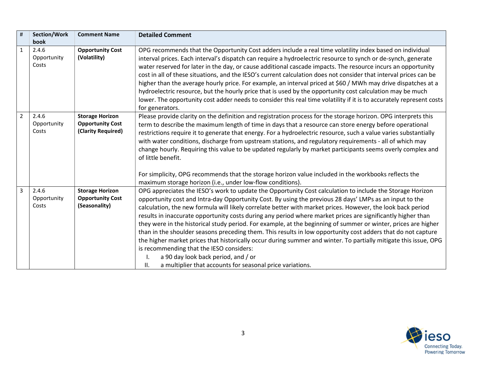| $\sharp$       | Section/Work         | <b>Comment Name</b>                     | <b>Detailed Comment</b>                                                                                                                                                                                                   |
|----------------|----------------------|-----------------------------------------|---------------------------------------------------------------------------------------------------------------------------------------------------------------------------------------------------------------------------|
|                | book                 |                                         |                                                                                                                                                                                                                           |
| $\mathbf{1}$   | 2.4.6<br>Opportunity | <b>Opportunity Cost</b><br>(Volatility) | OPG recommends that the Opportunity Cost adders include a real time volatility index based on individual<br>interval prices. Each interval's dispatch can require a hydroelectric resource to synch or de-synch, generate |
|                | Costs                |                                         |                                                                                                                                                                                                                           |
|                |                      |                                         | water reserved for later in the day, or cause additional cascade impacts. The resource incurs an opportunity                                                                                                              |
|                |                      |                                         | cost in all of these situations, and the IESO's current calculation does not consider that interval prices can be                                                                                                         |
|                |                      |                                         | higher than the average hourly price. For example, an interval priced at \$60 / MWh may drive dispatches at a                                                                                                             |
|                |                      |                                         | hydroelectric resource, but the hourly price that is used by the opportunity cost calculation may be much                                                                                                                 |
|                |                      |                                         | lower. The opportunity cost adder needs to consider this real time volatility if it is to accurately represent costs<br>for generators.                                                                                   |
| $\overline{2}$ | 2.4.6                | <b>Storage Horizon</b>                  | Please provide clarity on the definition and registration process for the storage horizon. OPG interprets this                                                                                                            |
|                | Opportunity          | <b>Opportunity Cost</b>                 | term to describe the maximum length of time in days that a resource can store energy before operational                                                                                                                   |
|                | Costs                | (Clarity Required)                      | restrictions require it to generate that energy. For a hydroelectric resource, such a value varies substantially                                                                                                          |
|                |                      |                                         | with water conditions, discharge from upstream stations, and regulatory requirements - all of which may                                                                                                                   |
|                |                      |                                         | change hourly. Requiring this value to be updated regularly by market participants seems overly complex and                                                                                                               |
|                |                      |                                         | of little benefit.                                                                                                                                                                                                        |
|                |                      |                                         |                                                                                                                                                                                                                           |
|                |                      |                                         | For simplicity, OPG recommends that the storage horizon value included in the workbooks reflects the                                                                                                                      |
|                |                      |                                         | maximum storage horizon (i.e., under low-flow conditions).                                                                                                                                                                |
| 3              | 2.4.6                | <b>Storage Horizon</b>                  | OPG appreciates the IESO's work to update the Opportunity Cost calculation to include the Storage Horizon                                                                                                                 |
|                | Opportunity          | <b>Opportunity Cost</b>                 | opportunity cost and Intra-day Opportunity Cost. By using the previous 28 days' LMPs as an input to the                                                                                                                   |
|                | Costs                | (Seasonality)                           | calculation, the new formula will likely correlate better with market prices. However, the look back period                                                                                                               |
|                |                      |                                         | results in inaccurate opportunity costs during any period where market prices are significantly higher than                                                                                                               |
|                |                      |                                         | they were in the historical study period. For example, at the beginning of summer or winter, prices are higher                                                                                                            |
|                |                      |                                         | than in the shoulder seasons preceding them. This results in low opportunity cost adders that do not capture                                                                                                              |
|                |                      |                                         | the higher market prices that historically occur during summer and winter. To partially mitigate this issue, OPG                                                                                                          |
|                |                      |                                         | is recommending that the IESO considers:                                                                                                                                                                                  |
|                |                      |                                         | a 90 day look back period, and / or                                                                                                                                                                                       |
|                |                      |                                         | a multiplier that accounts for seasonal price variations.<br>Ш.                                                                                                                                                           |

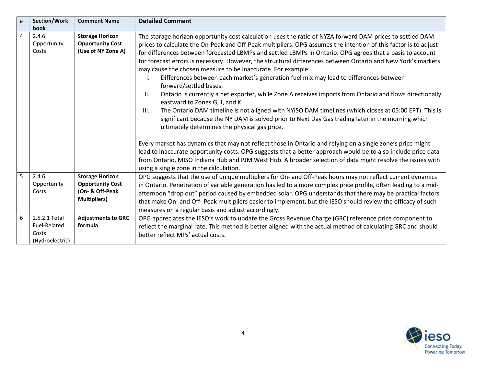| #              | Section/Work                                              | <b>Comment Name</b>                                                                         | <b>Detailed Comment</b>                                                                                                                                                                                                                                                                                                                                                                                                                                                                                                                                                                                                                                                                                                                                                                                                                                                                                                                                                                                                                                                |
|----------------|-----------------------------------------------------------|---------------------------------------------------------------------------------------------|------------------------------------------------------------------------------------------------------------------------------------------------------------------------------------------------------------------------------------------------------------------------------------------------------------------------------------------------------------------------------------------------------------------------------------------------------------------------------------------------------------------------------------------------------------------------------------------------------------------------------------------------------------------------------------------------------------------------------------------------------------------------------------------------------------------------------------------------------------------------------------------------------------------------------------------------------------------------------------------------------------------------------------------------------------------------|
|                | book                                                      |                                                                                             |                                                                                                                                                                                                                                                                                                                                                                                                                                                                                                                                                                                                                                                                                                                                                                                                                                                                                                                                                                                                                                                                        |
| $\overline{4}$ | 2.4.6<br>Opportunity<br>Costs                             | <b>Storage Horizon</b><br><b>Opportunity Cost</b><br>(Use of NY Zone A)                     | The storage horizon opportunity cost calculation uses the ratio of NYZA forward DAM prices to settled DAM<br>prices to calculate the On-Peak and Off-Peak multipliers. OPG assumes the intention of this factor is to adjust<br>for differences between forecasted LBMPs and settled LBMPs in Ontario. OPG agrees that a basis to account<br>for forecast errors is necessary. However, the structural differences between Ontario and New York's markets<br>may cause the chosen measure to be inaccurate. For example:<br>Differences between each market's generation fuel mix may lead to differences between<br>forward/settled bases.<br>Ontario is currently a net exporter, while Zone A receives imports from Ontario and flows directionally<br>II.<br>eastward to Zones G, J, and K.<br>The Ontario DAM timeline is not aligned with NYISO DAM timelines (which closes at 05:00 EPT). This is<br>III.<br>significant because the NY DAM is solved prior to Next Day Gas trading later in the morning which<br>ultimately determines the physical gas price. |
|                |                                                           |                                                                                             | Every market has dynamics that may not reflect those in Ontario and relying on a single zone's price might<br>lead to inaccurate opportunity costs. OPG suggests that a better approach would be to also include price data<br>from Ontario, MISO Indiana Hub and PJM West Hub. A broader selection of data might resolve the issues with<br>using a single zone in the calculation.                                                                                                                                                                                                                                                                                                                                                                                                                                                                                                                                                                                                                                                                                   |
| 5              | 2.4.6<br>Opportunity<br>Costs                             | <b>Storage Horizon</b><br><b>Opportunity Cost</b><br>(On- & Off-Peak<br><b>Multipliers)</b> | OPG suggests that the use of unique multipliers for On- and Off-Peak hours may not reflect current dynamics<br>in Ontario. Penetration of variable generation has led to a more complex price profile, often leading to a mid-<br>afternoon "drop out" period caused by embedded solar. OPG understands that there may be practical factors<br>that make On- and Off- Peak multipliers easier to implement, but the IESO should review the efficacy of such<br>measures on a regular basis and adjust accordingly.                                                                                                                                                                                                                                                                                                                                                                                                                                                                                                                                                     |
| 6              | 2.5.2.1 Total<br>Fuel-Related<br>Costs<br>(Hydroelectric) | <b>Adjustments to GRC</b><br>formula                                                        | OPG appreciates the IESO's work to update the Gross Revenue Charge (GRC) reference price component to<br>reflect the marginal rate. This method is better aligned with the actual method of calculating GRC and should<br>better reflect MPs' actual costs.                                                                                                                                                                                                                                                                                                                                                                                                                                                                                                                                                                                                                                                                                                                                                                                                            |

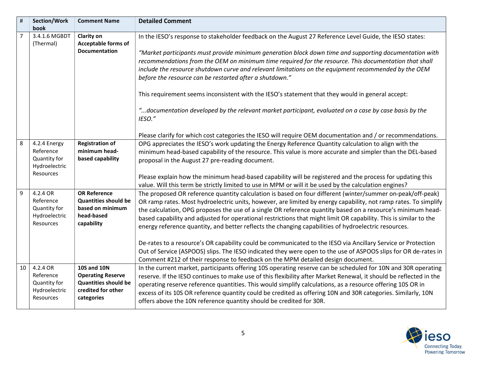| $\sharp$ | <b>Section/Work</b><br>book                                                    | <b>Comment Name</b>                                                                                               | <b>Detailed Comment</b>                                                                                                                                                                                                                                                                                                                                                                                                                                                                                                                                                                                                                                                                                                                                                                                                                                                                        |
|----------|--------------------------------------------------------------------------------|-------------------------------------------------------------------------------------------------------------------|------------------------------------------------------------------------------------------------------------------------------------------------------------------------------------------------------------------------------------------------------------------------------------------------------------------------------------------------------------------------------------------------------------------------------------------------------------------------------------------------------------------------------------------------------------------------------------------------------------------------------------------------------------------------------------------------------------------------------------------------------------------------------------------------------------------------------------------------------------------------------------------------|
| 7        | 3.4.1.6 MGBDT<br>(Thermal)                                                     | <b>Clarity on</b><br>Acceptable forms of<br><b>Documentation</b>                                                  | In the IESO's response to stakeholder feedback on the August 27 Reference Level Guide, the IESO states:<br>"Market participants must provide minimum generation block down time and supporting documentation with<br>recommendations from the OEM on minimum time required for the resource. This documentation that shall<br>include the resource shutdown curve and relevant limitations on the equipment recommended by the OEM<br>before the resource can be restarted after a shutdown."<br>This requirement seems inconsistent with the IESO's statement that they would in general accept:<br>documentation developed by the relevant market participant, evaluated on a case by case basis by the"<br>IESO."<br>Please clarify for which cost categories the IESO will require OEM documentation and / or recommendations.                                                             |
| 8        | 4.2.4 Energy<br>Reference<br>Quantity for<br>Hydroelectric<br><b>Resources</b> | <b>Registration of</b><br>minimum head-<br>based capability                                                       | OPG appreciates the IESO's work updating the Energy Reference Quantity calculation to align with the<br>minimum head-based capability of the resource. This value is more accurate and simpler than the DEL-based<br>proposal in the August 27 pre-reading document.<br>Please explain how the minimum head-based capability will be registered and the process for updating this<br>value. Will this term be strictly limited to use in MPM or will it be used by the calculation engines?                                                                                                                                                                                                                                                                                                                                                                                                    |
| 9        | 4.2.4 OR<br>Reference<br>Quantity for<br>Hydroelectric<br>Resources            | <b>OR Reference</b><br><b>Quantities should be</b><br>based on minimum<br>head-based<br>capability                | The proposed OR reference quantity calculation is based on four different (winter/summer on-peak/off-peak)<br>OR ramp rates. Most hydroelectric units, however, are limited by energy capability, not ramp rates. To simplify<br>the calculation, OPG proposes the use of a single OR reference quantity based on a resource's minimum head-<br>based capability and adjusted for operational restrictions that might limit OR capability. This is similar to the<br>energy reference quantity, and better reflects the changing capabilities of hydroelectric resources.<br>De-rates to a resource's OR capability could be communicated to the IESO via Ancillary Service or Protection<br>Out of Service (ASPOOS) slips. The IESO indicated they were open to the use of ASPOOS slips for OR de-rates in<br>Comment #212 of their response to feedback on the MPM detailed design document. |
| 10       | 4.2.4 OR<br>Reference<br>Quantity for<br>Hydroelectric<br>Resources            | <b>10S and 10N</b><br><b>Operating Reserve</b><br><b>Quantities should be</b><br>credited for other<br>categories | In the current market, participants offering 10S operating reserve can be scheduled for 10N and 30R operating<br>reserve. If the IESO continues to make use of this flexibility after Market Renewal, it should be reflected in the<br>operating reserve reference quantities. This would simplify calculations, as a resource offering 10S OR in<br>excess of its 10S OR reference quantity could be credited as offering 10N and 30R categories. Similarly, 10N<br>offers above the 10N reference quantity should be credited for 30R.                                                                                                                                                                                                                                                                                                                                                       |